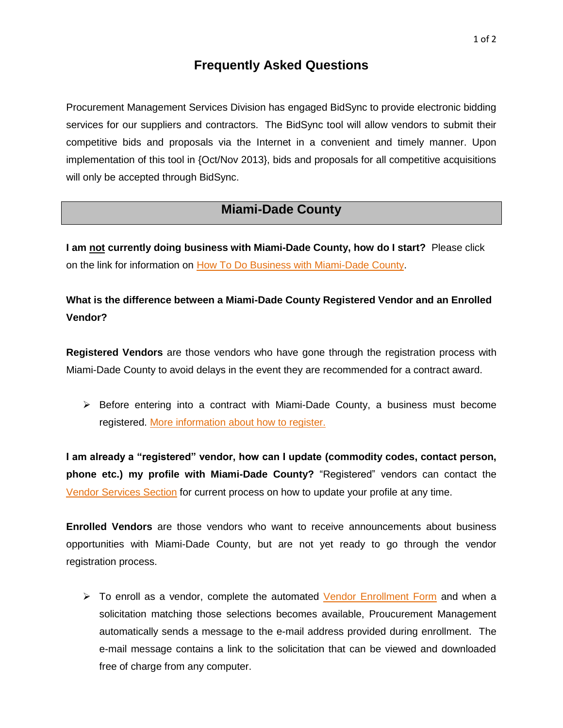## **Frequently Asked Questions**

Procurement Management Services Division has engaged BidSync to provide electronic bidding services for our suppliers and contractors. The BidSync tool will allow vendors to submit their competitive bids and proposals via the Internet in a convenient and timely manner. Upon implementation of this tool in {Oct/Nov 2013}, bids and proposals for all competitive acquisitions will only be accepted through BidSync.

## **Miami-Dade County**

**I am not currently doing business with Miami-Dade County, how do I start?** Please click on the link for information on [How To Do Business with Miami-Dade County.](http://www.miamidade.gov/procurement/doing-business-with-us.asp)

**What is the difference between a Miami-Dade County Registered Vendor and an Enrolled Vendor?**

**Registered Vendors** are those vendors who have gone through the registration process with Miami-Dade County to avoid delays in the event they are recommended for a contract award.

 $\triangleright$  Before entering into a contract with Miami-Dade County, a business must become registered. [More information about how to register.](http://www.miamidade.gov/procurement/vendor-registration.asp#0)

**I am already a "registered" vendor, how can I update (commodity codes, contact person, phone etc.) my profile with Miami-Dade County?** "Registered" vendors can contact the [Vendor Services Section](http://www.miamidade.gov/procurement/vendor-registration.asp#1) for current process on how to update your profile at any time.

**Enrolled Vendors** are those vendors who want to receive announcements about business opportunities with Miami-Dade County, but are not yet ready to go through the vendor registration process.

 $\triangleright$  To enroll as a vendor, complete the automated [Vendor Enrollment Form](https://www.miamidade.gov/DPMww/enroll.aspx) and when a solicitation matching those selections becomes available, Proucurement Management automatically sends a message to the e-mail address provided during enrollment. The e-mail message contains a link to the solicitation that can be viewed and downloaded free of charge from any computer.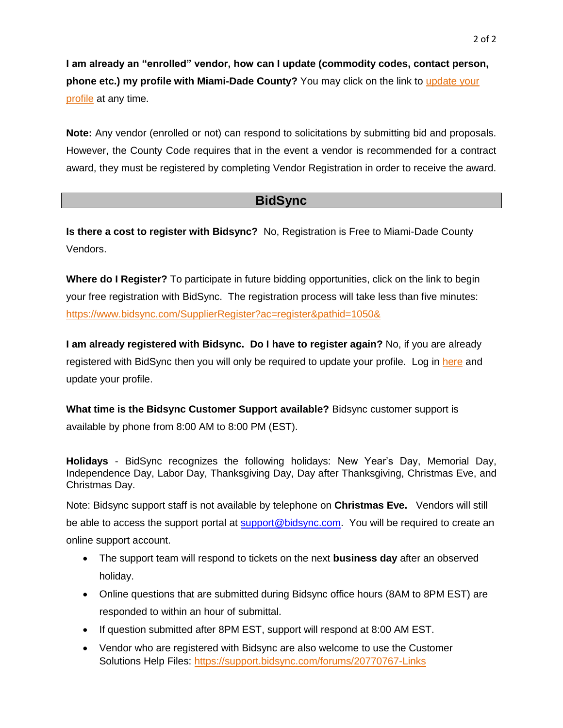**I am already an "enrolled" vendor, how can I update (commodity codes, contact person, phone etc.) my profile with Miami-Dade County?** You may click on the link to [update your](https://www.miamidade.gov/DPMww/inter_logon.aspx)  [profile](https://www.miamidade.gov/DPMww/inter_logon.aspx) at any time.

**Note:** Any vendor (enrolled or not) can respond to solicitations by submitting bid and proposals. However, the County Code requires that in the event a vendor is recommended for a contract award, they must be registered by completing Vendor Registration in order to receive the award.

## **BidSync**

**Is there a cost to register with Bidsync?** No, Registration is Free to Miami-Dade County Vendors.

**Where do I Register?** To participate in future bidding opportunities, click on the link to begin your free registration with BidSync. The registration process will take less than five minutes: <https://www.bidsync.com/SupplierRegister?ac=register&pathid=1050&>

**I am already registered with Bidsync. Do I have to register again?** No, if you are already registered with BidSync then you will only be required to update your profile. Log in [here](http://email.bidsync.com/trk?t=2&mid=MDIwLUxIWi05NzI6MjQ5OjE1MTk6MjE0MDowOjE1MTk6Nzo2MTYwMTA6c21jY2F1bEBiaWRzeW5jLmNvbQ%3D%3D&&&https://www.bidsync.com/DPXLogin?mkt_tok=3RkMMJWWfF9wsRonvq3AZKXonjHpfsX%2B6uotWKeg38431UFwdcjKPmjr1YIETct0aPyQAgobGp5I5FEISLDYUKh6t6wKWQ%3D%3D) and update your profile.

**What time is the Bidsync Customer Support available?** Bidsync customer support is available by phone from 8:00 AM to 8:00 PM (EST).

**Holidays** - BidSync recognizes the following holidays: New Year's Day, Memorial Day, Independence Day, Labor Day, Thanksgiving Day, Day after Thanksgiving, Christmas Eve, and Christmas Day.

Note: Bidsync support staff is not available by telephone on **Christmas Eve.** Vendors will still be able to access the support portal at [support@bidsync.com.](mailto:support@bidsync.com) You will be required to create an online support account.

- The support team will respond to tickets on the next **business day** after an observed holiday.
- Online questions that are submitted during Bidsync office hours (8AM to 8PM EST) are responded to within an hour of submittal.
- If question submitted after 8PM EST, support will respond at 8:00 AM EST.
- Vendor who are registered with Bidsync are also welcome to use the Customer Solutions Help Files:<https://support.bidsync.com/forums/20770767-Links>